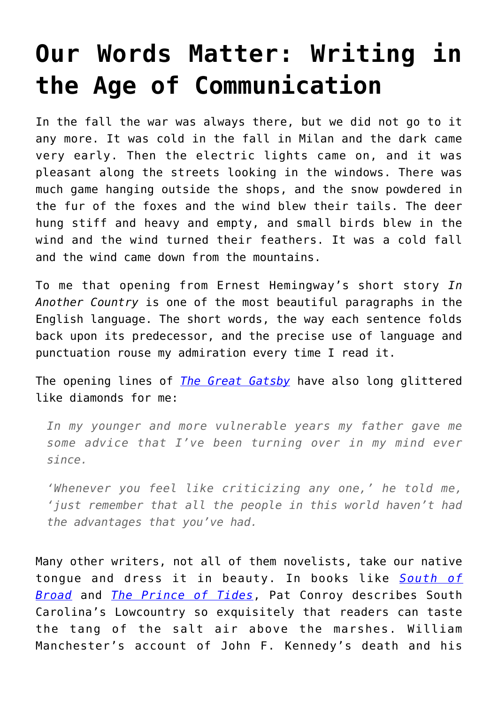## **[Our Words Matter: Writing in](https://intellectualtakeout.org/2021/01/our-words-matter-writing-in-the-age-of-communication/) [the Age of Communication](https://intellectualtakeout.org/2021/01/our-words-matter-writing-in-the-age-of-communication/)**

In the fall the war was always there, but we did not go to it any more. It was cold in the fall in Milan and the dark came very early. Then the electric lights came on, and it was pleasant along the streets looking in the windows. There was much game hanging outside the shops, and the snow powdered in the fur of the foxes and the wind blew their tails. The deer hung stiff and heavy and empty, and small birds blew in the wind and the wind turned their feathers. It was a cold fall and the wind came down from the mountains.

To me that opening from Ernest Hemingway's short story *In Another Country* is one of the most beautiful paragraphs in the English language. The short words, the way each sentence folds back upon its predecessor, and the precise use of language and punctuation rouse my admiration every time I read it.

The opening lines of *[The Great Gatsby](https://www.amazon.com/gp/product/0743273567/ref=as_li_qf_asin_il_tl?ie=UTF8&tag=intelltakeo0d-20&creative=9325&linkCode=as2&creativeASIN=0743273567&linkId=75abba4c2c80cb43297e111d41e713c4)* have also long glittered like diamonds for me:

*In my younger and more vulnerable years my father gave me some advice that I've been turning over in my mind ever since.*

*'Whenever you feel like criticizing any one,' he told me, 'just remember that all the people in this world haven't had the advantages that you've had.*

Many other writers, not all of them novelists, take our native tongue and dress it in beauty. In books like *[South of](https://www.amazon.com/gp/product/0385344074/ref=as_li_qf_asin_il_tl?ie=UTF8&tag=intelltakeo0d-20&creative=9325&linkCode=as2&creativeASIN=0385344074&linkId=04dfd78b7b0d94a2528312b7f969644b) [Broad](https://www.amazon.com/gp/product/0385344074/ref=as_li_qf_asin_il_tl?ie=UTF8&tag=intelltakeo0d-20&creative=9325&linkCode=as2&creativeASIN=0385344074&linkId=04dfd78b7b0d94a2528312b7f969644b)* and *[The Prince of Tides](https://www.amazon.com/gp/product/B000OLTMQI/ref=as_li_qf_asin_il_tl?ie=UTF8&tag=intelltakeo0d-20&creative=9325&linkCode=as2&creativeASIN=B000OLTMQI&linkId=3f847462f48b2dcc467b4c8f82c4304a)*, Pat Conroy describes South Carolina's Lowcountry so exquisitely that readers can taste the tang of the salt air above the marshes. William Manchester's account of John F. Kennedy's death and his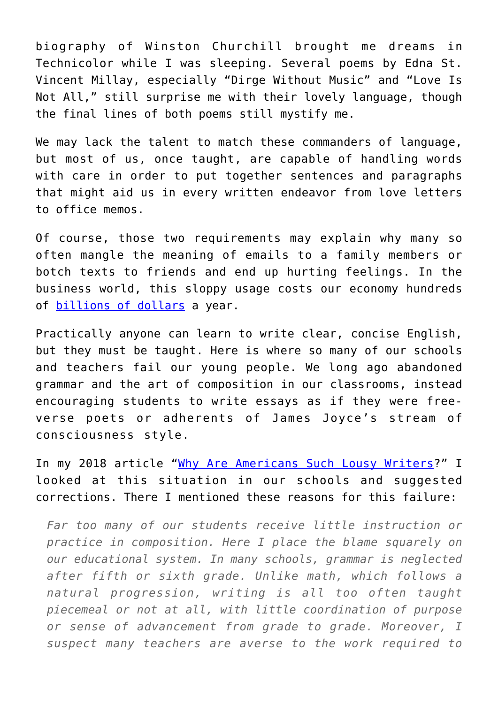biography of Winston Churchill brought me dreams in Technicolor while I was sleeping. Several poems by Edna St. Vincent Millay, especially "Dirge Without Music" and "Love Is Not All," still surprise me with their lovely language, though the final lines of both poems still mystify me.

We may lack the talent to match these commanders of language, but most of us, once taught, are capable of handling words with care in order to put together sentences and paragraphs that might aid us in every written endeavor from love letters to office memos.

Of course, those two requirements may explain why many so often mangle the meaning of emails to a family members or botch texts to friends and end up hurting feelings. In the business world, this sloppy usage costs our economy hundreds of [billions of dollars](https://connectconsultinggroup.com/how-to-start-solving-our-396-billion-bad-writing-problem/) a year.

Practically anyone can learn to write clear, concise English, but they must be taught. Here is where so many of our schools and teachers fail our young people. We long ago abandoned grammar and the art of composition in our classrooms, instead encouraging students to write essays as if they were freeverse poets or adherents of James Joyce's stream of consciousness style.

In my 2018 article "[Why Are Americans Such Lousy Writers?](https://www.intellectualtakeout.org/article/why-are-americans-such-lousy-writers/)" I looked at this situation in our schools and suggested corrections. There I mentioned these reasons for this failure:

*Far too many of our students receive little instruction or practice in composition. Here I place the blame squarely on our educational system. In many schools, grammar is neglected after fifth or sixth grade. Unlike math, which follows a natural progression, writing is all too often taught piecemeal or not at all, with little coordination of purpose or sense of advancement from grade to grade. Moreover, I suspect many teachers are averse to the work required to*